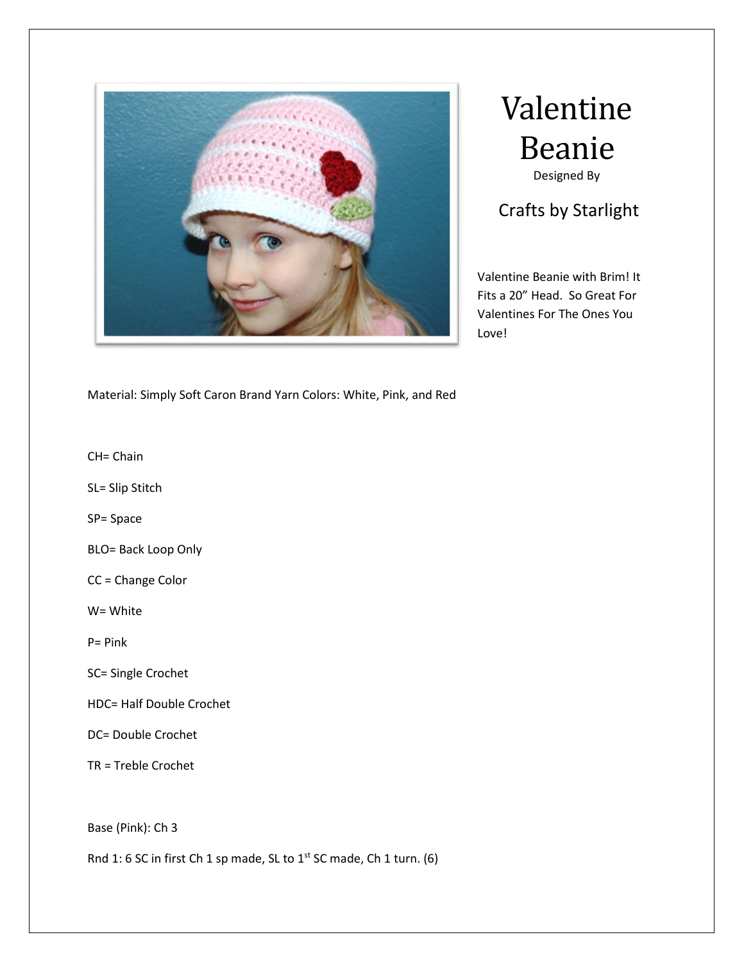

## Valentine Beanie Designed By

## Crafts by Starlight

Valentine Beanie with Brim! It Fits a 20" Head. So Great For Valentines For The Ones You Love!

Material: Simply Soft Caron Brand Yarn Colors: White, Pink, and Red

CH= Chain

SL= Slip Stitch

SP= Space

BLO= Back Loop Only

CC = Change Color

W= White

P= Pink

- SC= Single Crochet
- HDC= Half Double Crochet
- DC= Double Crochet
- TR = Treble Crochet

Base (Pink): Ch 3

Rnd 1: 6 SC in first Ch 1 sp made, SL to 1<sup>st</sup> SC made, Ch 1 turn. (6)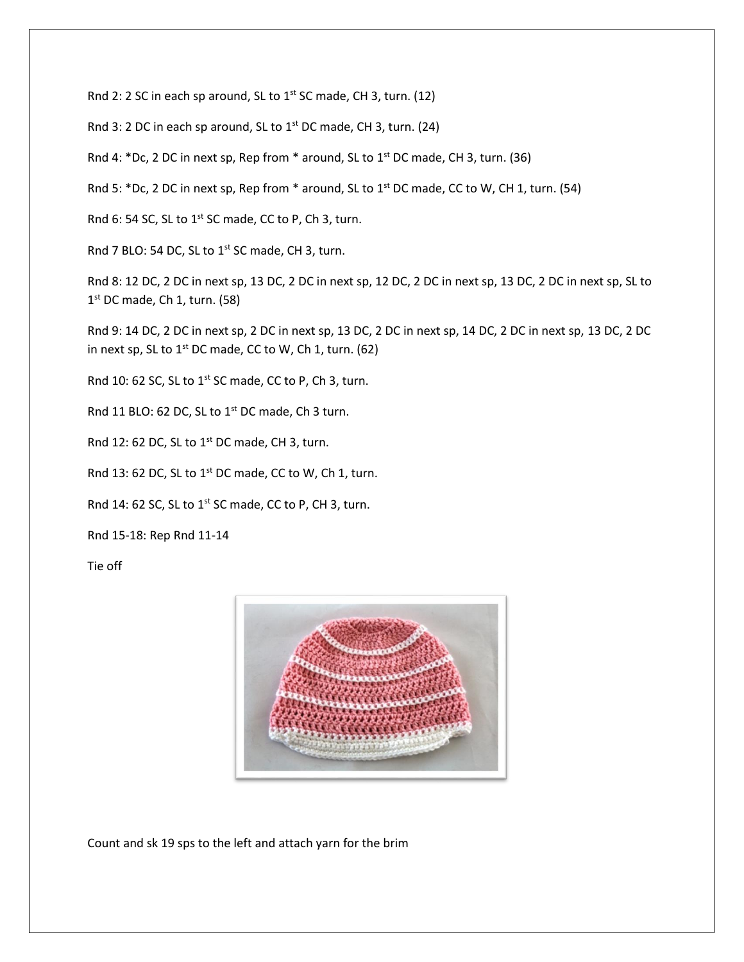Rnd 2: 2 SC in each sp around, SL to  $1^{st}$  SC made, CH 3, turn. (12)

Rnd 3: 2 DC in each sp around, SL to  $1<sup>st</sup>$  DC made, CH 3, turn. (24)

Rnd 4: \*Dc, 2 DC in next sp, Rep from \* around, SL to  $1<sup>st</sup>$  DC made, CH 3, turn. (36)

Rnd 5: \*Dc, 2 DC in next sp, Rep from \* around, SL to 1<sup>st</sup> DC made, CC to W, CH 1, turn. (54)

Rnd 6: 54 SC, SL to 1<sup>st</sup> SC made, CC to P, Ch 3, turn.

Rnd 7 BLO: 54 DC, SL to 1<sup>st</sup> SC made, CH 3, turn.

Rnd 8: 12 DC, 2 DC in next sp, 13 DC, 2 DC in next sp, 12 DC, 2 DC in next sp, 13 DC, 2 DC in next sp, SL to 1<sup>st</sup> DC made, Ch 1, turn. (58)

Rnd 9: 14 DC, 2 DC in next sp, 2 DC in next sp, 13 DC, 2 DC in next sp, 14 DC, 2 DC in next sp, 13 DC, 2 DC in next sp, SL to  $1^{st}$  DC made, CC to W, Ch 1, turn. (62)

Rnd 10: 62 SC, SL to 1<sup>st</sup> SC made, CC to P, Ch 3, turn.

Rnd 11 BLO: 62 DC, SL to 1<sup>st</sup> DC made, Ch 3 turn.

Rnd 12: 62 DC, SL to  $1<sup>st</sup>$  DC made, CH 3, turn.

Rnd 13: 62 DC, SL to  $1^{st}$  DC made, CC to W, Ch 1, turn.

Rnd 14: 62 SC, SL to  $1^{st}$  SC made, CC to P, CH 3, turn.

Rnd 15-18: Rep Rnd 11-14

Tie off



Count and sk 19 sps to the left and attach yarn for the brim